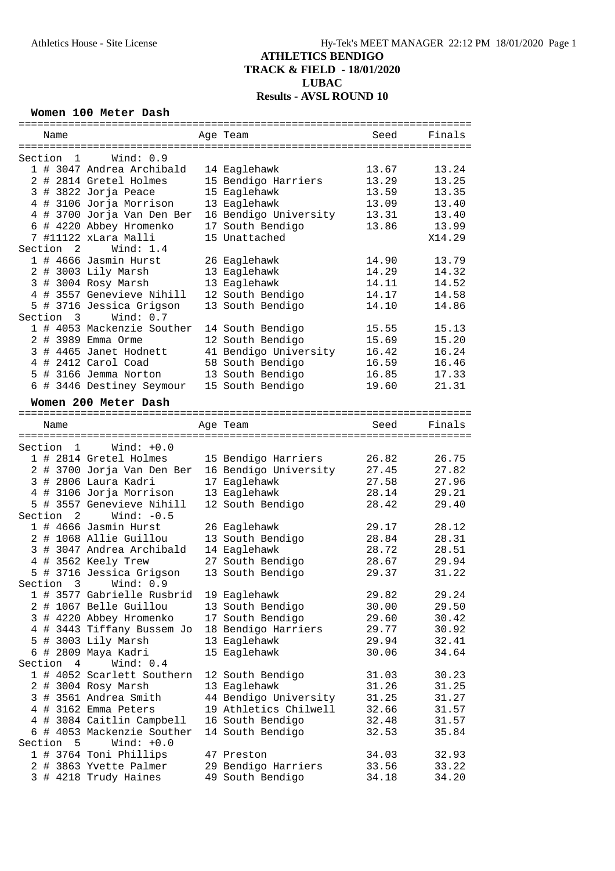#### **Women 100 Meter Dash**

| Name                 |                            | Age Team                             | Seed  | Finals |
|----------------------|----------------------------|--------------------------------------|-------|--------|
|                      |                            |                                      |       |        |
| Section 1            | Wind: $0.9$                |                                      |       |        |
|                      | 1 # 3047 Andrea Archibald  | 14 Eaglehawk                         | 13.67 | 13.24  |
|                      | 2 # 2814 Gretel Holmes     | 15 Bendigo Harriers                  | 13.29 | 13.25  |
|                      | 3 # 3822 Jorja Peace       | 15 Eaglehawk                         | 13.59 | 13.35  |
|                      | 4 # 3106 Jorja Morrison    | 13 Eaglehawk                         | 13.09 | 13.40  |
|                      | 4 # 3700 Jorja Van Den Ber | 16 Bendigo University                | 13.31 | 13.40  |
|                      | 6 # 4220 Abbey Hromenko    | 17 South Bendigo                     | 13.86 | 13.99  |
|                      | 7 #11122 xLara Malli       | 15 Unattached                        |       | X14.29 |
| Section 2            | Wind: 1.4                  |                                      |       |        |
|                      | 1 # 4666 Jasmin Hurst      | 26 Eaglehawk                         | 14.90 | 13.79  |
|                      | 2 # 3003 Lily Marsh        | 13 Eaglehawk                         | 14.29 | 14.32  |
|                      | 3 # 3004 Rosy Marsh        | 13 Eaglehawk                         | 14.11 | 14.52  |
|                      | 4 # 3557 Genevieve Nihill  | 12 South Bendigo                     | 14.17 | 14.58  |
|                      | 5 # 3716 Jessica Grigson   | 13 South Bendigo                     | 14.10 | 14.86  |
| Section 3            | Wind: 0.7                  |                                      |       |        |
|                      | 1 # 4053 Mackenzie Souther |                                      | 15.55 | 15.13  |
|                      |                            | 14 South Bendigo<br>12 South Bendigo |       |        |
|                      | 2 # 3989 Emma Orme         |                                      | 15.69 | 15.20  |
|                      | 3 # 4465 Janet Hodnett     | 41 Bendigo University                | 16.42 | 16.24  |
|                      | 4 # 2412 Carol Coad        | 58 South Bendigo                     | 16.59 | 16.46  |
|                      | 5 # 3166 Jemma Norton      | 13 South Bendigo                     | 16.85 | 17.33  |
|                      | 6 # 3446 Destiney Seymour  | 15 South Bendigo                     | 19.60 | 21.31  |
|                      | Women 200 Meter Dash       |                                      |       |        |
|                      |                            |                                      |       |        |
| Name                 |                            | Age Team                             | Seed  | Finals |
|                      |                            |                                      |       |        |
| Section 1            | $Wind: +0.0$               |                                      |       |        |
|                      | 1 # 2814 Gretel Holmes     | 15 Bendigo Harriers                  | 26.82 | 26.75  |
|                      | 2 # 3700 Jorja Van Den Ber | 16 Bendigo University                | 27.45 | 27.82  |
|                      | 3 # 2806 Laura Kadri       | 17 Eaglehawk                         | 27.58 | 27.96  |
|                      | 4 # 3106 Jorja Morrison    | 13 Eaglehawk                         | 28.14 | 29.21  |
|                      | 5 # 3557 Genevieve Nihill  | 12 South Bendigo                     | 28.42 | 29.40  |
|                      | Wind: $-0.5$               |                                      |       |        |
| Section <sub>2</sub> |                            |                                      |       |        |
|                      | 1 # 4666 Jasmin Hurst      | 26 Eaglehawk                         | 29.17 | 28.12  |
|                      | 2 # 1068 Allie Guillou     | 13 South Bendigo                     | 28.84 | 28.31  |
|                      | 3 # 3047 Andrea Archibald  | 14 Eaglehawk                         | 28.72 | 28.51  |
|                      | 4 # 3562 Keely Trew        | 27 South Bendigo                     | 28.67 | 29.94  |
|                      | 5 # 3716 Jessica Grigson   | 13 South Bendigo                     | 29.37 | 31.22  |
|                      | Section 3 Wind: 0.9        |                                      |       |        |
|                      | 1 # 3577 Gabrielle Rusbrid | 19 Eaglehawk                         | 29.82 | 29.24  |
|                      | 2 # 1067 Belle Guillou     | 13 South Bendigo                     | 30.00 | 29.50  |
|                      | 3 # 4220 Abbey Hromenko    | 17 South Bendigo                     | 29.60 | 30.42  |
|                      | 4 # 3443 Tiffany Bussem Jo | 18 Bendigo Harriers                  | 29.77 | 30.92  |
|                      | 5 # 3003 Lily Marsh        | 13 Eaglehawk                         | 29.94 | 32.41  |
|                      | 6 # 2809 Maya Kadri        | 15 Eaglehawk                         | 30.06 | 34.64  |
| Section 4            | Wind: $0.4$                |                                      |       |        |
|                      | 1 # 4052 Scarlett Southern | 12 South Bendigo                     | 31.03 | 30.23  |
|                      | 2 # 3004 Rosy Marsh        | 13 Eaglehawk                         | 31.26 | 31.25  |
|                      |                            | 44 Bendigo University                |       |        |
|                      | 3 # 3561 Andrea Smith      |                                      | 31.25 | 31.27  |
|                      | 4 # 3162 Emma Peters       | 19 Athletics Chilwell                | 32.66 | 31.57  |
|                      | 4 # 3084 Caitlin Campbell  | 16 South Bendigo                     | 32.48 | 31.57  |
|                      | 6 # 4053 Mackenzie Souther | 14 South Bendigo                     | 32.53 | 35.84  |
| Section<br>5         | Wind: $+0.0$               |                                      |       |        |
|                      | 1 # 3764 Toni Phillips     | 47 Preston                           | 34.03 | 32.93  |
|                      | 2 # 3863 Yvette Palmer     | 29 Bendigo Harriers                  | 33.56 | 33.22  |
|                      | 3 # 4218 Trudy Haines      | 49 South Bendigo                     | 34.18 | 34.20  |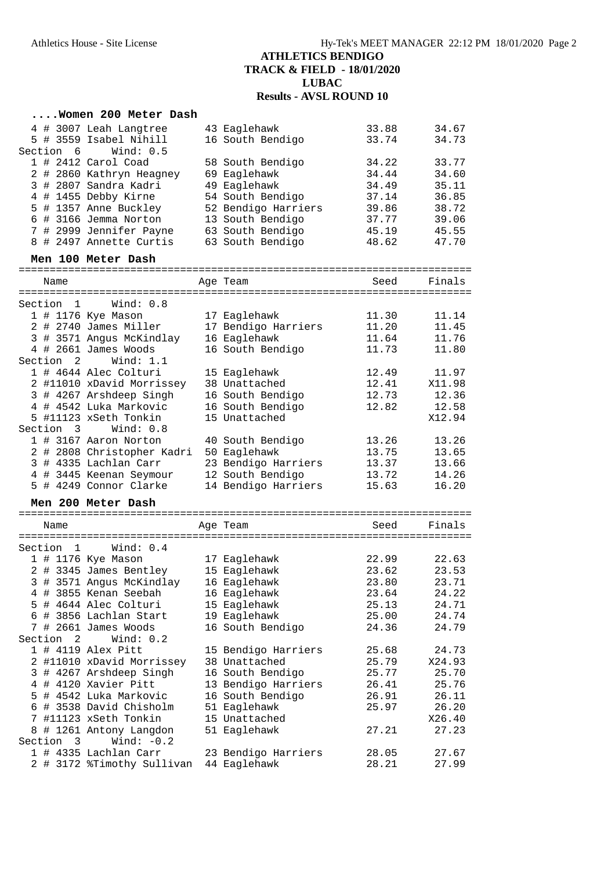#### **....Women 200 Meter Dash** 4 # 3007 Leah Langtree 43 Eaglehawk 33.88 34.67 5 # 3559 Isabel Nihill 16 South Bendigo 33.74 34.73 Section 6 Wind: 0.5 1 # 2412 Carol Coad 58 South Bendigo 34.22 33.77 2 # 2860 Kathryn Heagney 69 Eaglehawk 34.44 34.60 3 # 2807 Sandra Kadri 49 Eaglehawk 34.49 35.11 4 # 1455 Debby Kirne 54 South Bendigo 37.14 36.85 5 # 1357 Anne Buckley 52 Bendigo Harriers 39.86 38.72 6 # 3166 Jemma Norton 13 South Bendigo 37.77 39.06 7 # 2999 Jennifer Payne 63 South Bendigo 45.19 45.55 8 # 2497 Annette Curtis 63 South Bendigo 48.62 47.70 **Men 100 Meter Dash** ========================================================================= Name **Age Team** Seed Finals ========================================================================= Section 1 Wind: 0.8 1 # 1176 Kye Mason 17 Eaglehawk 11.30 11.14 2 # 2740 James Miller 17 Bendigo Harriers 11.20 11.45 3 # 3571 Angus McKindlay 16 Eaglehawk 11.64 11.76 4 # 2661 James Woods 16 South Bendigo 11.73 11.80 Section 2 Wind: 1.1 1 # 4644 Alec Colturi 15 Eaglehawk 12.49 11.97 2 #11010 xDavid Morrissey 38 Unattached 12.41 X11.98 3 # 4267 Arshdeep Singh 16 South Bendigo 12.73 12.36 4 # 4542 Luka Markovic 16 South Bendigo 12.82 12.58 5 #11123 xSeth Tonkin 15 Unattached X12.94 Section 3 Wind: 0.8 1 # 3167 Aaron Norton 40 South Bendigo 13.26 13.26 2 # 2808 Christopher Kadri 50 Eaglehawk 13.75 13.65 3 # 4335 Lachlan Carr 23 Bendigo Harriers 13.37 13.66 4 # 3445 Keenan Seymour 12 South Bendigo 13.72 14.26 5 # 4249 Connor Clarke 14 Bendigo Harriers 15.63 16.20 **Men 200 Meter Dash** ========================================================================= Name and a set of Age Team Age Team ========================================================================= Section 1 Wind: 0.4 1 # 1176 Kye Mason 17 Eaglehawk 22.99 22.63 2 # 3345 James Bentley 15 Eaglehawk 23.62 23.53 3 # 3571 Angus McKindlay 16 Eaglehawk 23.80 23.71 4 # 3855 Kenan Seebah 16 Eaglehawk 23.64 24.22 5 # 4644 Alec Colturi 15 Eaglehawk 25.13 24.71 6 # 3856 Lachlan Start 19 Eaglehawk 25.00 24.74 7 # 2661 James Woods 16 South Bendigo 24.36 24.79 Section 2 Wind: 0.2 1 # 4119 Alex Pitt 15 Bendigo Harriers 25.68 24.73 2 #11010 xDavid Morrissey 38 Unattached 25.79 X24.93 3 # 4267 Arshdeep Singh 16 South Bendigo 25.77 25.70 4 # 4120 Xavier Pitt 13 Bendigo Harriers 26.41 25.76 5 # 4542 Luka Markovic 16 South Bendigo 26.91 26.11 6 # 3538 David Chisholm 51 Eaglehawk 25.97 26.20 7 #11123 xSeth Tonkin 15 Unattached X26.40 8 # 1261 Antony Langdon 51 Eaglehawk 27.21 27.23 Section 3 Wind: -0.2 1 # 4335 Lachlan Carr 23 Bendigo Harriers 28.05 27.67 2 # 3172 %Timothy Sullivan 44 Eaglehawk 28.21 27.99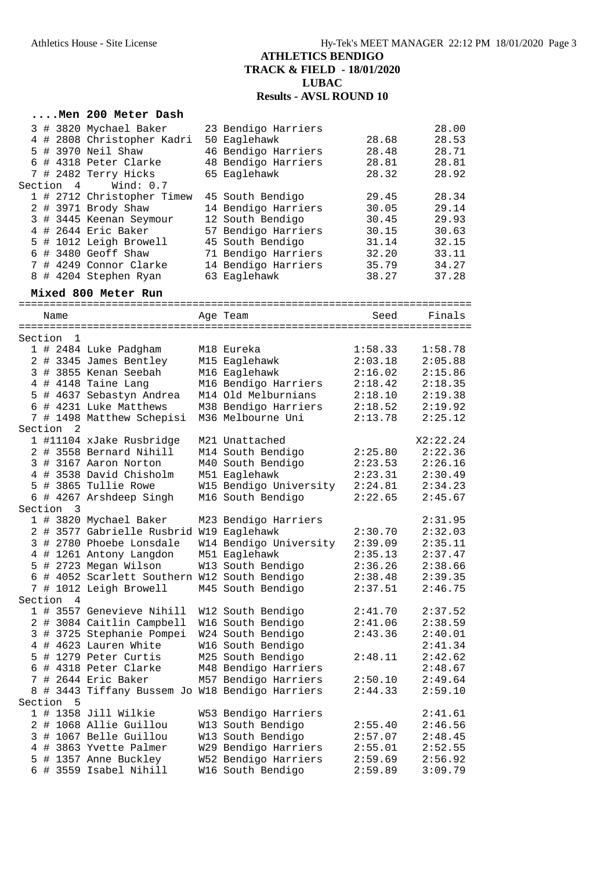### **....Men 200 Meter Dash**

|  |           | 3 # 3820 Mychael Baker     | 23 Bendigo Harriers |       | 28.00 |
|--|-----------|----------------------------|---------------------|-------|-------|
|  |           | 4 # 2808 Christopher Kadri | 50 Eaglehawk        | 28.68 | 28.53 |
|  |           | 5 # 3970 Neil Shaw         | 46 Bendigo Harriers | 28.48 | 28.71 |
|  |           | 6 # 4318 Peter Clarke      | 48 Bendigo Harriers | 28.81 | 28.81 |
|  |           | 7 # 2482 Terry Hicks       | 65 Eaglehawk        | 28.32 | 28.92 |
|  | Section 4 | Wind: 0.7                  |                     |       |       |
|  |           | 1 # 2712 Christopher Timew | 45 South Bendigo    | 29.45 | 28.34 |
|  |           | 2 # 3971 Brody Shaw        | 14 Bendigo Harriers | 30.05 | 29.14 |
|  |           | 3 # 3445 Keenan Seymour    | 12 South Bendigo    | 30.45 | 29.93 |
|  |           | 4 # 2644 Eric Baker        | 57 Bendigo Harriers | 30.15 | 30.63 |
|  |           | 5 # 1012 Leigh Browell     | 45 South Bendigo    | 31.14 | 32.15 |
|  |           | $6$ # 3480 Geoff Shaw      | 71 Bendigo Harriers | 32.20 | 33.11 |
|  |           | 7 # 4249 Connor Clarke     | 14 Bendigo Harriers | 35.79 | 34.27 |
|  |           | 8 # 4204 Stephen Ryan      | 63 Eaglehawk        | 38.27 | 37.28 |

### **Mixed 800 Meter Run**

|         | Name           |                                               | Age Team               | Seed    | Finals   |
|---------|----------------|-----------------------------------------------|------------------------|---------|----------|
| Section | 1              |                                               |                        |         |          |
|         |                | 1 # 2484 Luke Padgham                         | M18 Eureka             | 1:58.33 | 1:58.78  |
|         |                | 2 # 3345 James Bentley                        | M15 Eaglehawk          | 2:03.18 | 2:05.88  |
|         |                | 3 # 3855 Kenan Seebah                         | M16 Eaglehawk          | 2:16.02 | 2:15.86  |
|         |                | 4 # 4148 Taine Lang                           | M16 Bendigo Harriers   | 2:18.42 | 2:18.35  |
|         |                |                                               |                        |         |          |
|         |                | 5 # 4637 Sebastyn Andrea                      | M14 Old Melburnians    | 2:18.10 | 2:19.38  |
|         |                | 6 # 4231 Luke Matthews                        | M38 Bendigo Harriers   | 2:18.52 | 2:19.92  |
|         |                | 7 # 1498 Matthew Schepisi                     | M36 Melbourne Uni      | 2:13.78 | 2:25.12  |
| Section | -2             |                                               |                        |         |          |
|         |                | 1 #11104 xJake Rusbridge                      | M21 Unattached         |         | X2:22.24 |
|         |                | 2 # 3558 Bernard Nihill                       | M14 South Bendigo      | 2:25.80 | 2:22.36  |
|         |                | 3 # 3167 Aaron Norton                         | M40 South Bendigo      | 2:23.53 | 2:26.16  |
|         |                | 4 # 3538 David Chisholm                       | M51 Eaglehawk          | 2:23.31 | 2:30.49  |
|         |                | 5 # 3865 Tullie Rowe                          | W15 Bendigo University | 2:24.81 | 2:34.23  |
|         |                | 6 # 4267 Arshdeep Singh                       | M16 South Bendigo      | 2:22.65 | 2:45.67  |
| Section | $\overline{3}$ |                                               |                        |         |          |
|         |                | 1 # 3820 Mychael Baker                        | M23 Bendigo Harriers   |         | 2:31.95  |
|         |                | 2 # 3577 Gabrielle Rusbrid W19 Eaglehawk      |                        | 2:30.70 | 2:32.03  |
|         |                | 3 # 2780 Phoebe Lonsdale                      | W14 Bendigo University | 2:39.09 | 2:35.11  |
|         |                | 4 # 1261 Antony Langdon                       | M51 Eaglehawk          | 2:35.13 | 2:37.47  |
|         |                | 5 # 2723 Megan Wilson                         | W13 South Bendigo      | 2:36.26 | 2:38.66  |
|         |                | 6 # 4052 Scarlett Southern W12 South Bendigo  |                        | 2:38.48 | 2:39.35  |
|         |                | 7 # 1012 Leigh Browell                        | M45 South Bendigo      | 2:37.51 | 2:46.75  |
|         | Section 4      |                                               |                        |         |          |
|         |                | 1 # 3557 Genevieve Nihill                     | W12 South Bendigo      | 2:41.70 | 2:37.52  |
|         |                | 2 # 3084 Caitlin Campbell                     | W16 South Bendigo      | 2:41.06 | 2:38.59  |
|         |                | 3 # 3725 Stephanie Pompei                     | W24 South Bendigo      | 2:43.36 | 2:40.01  |
|         |                | 4 # 4623 Lauren White                         | W16 South Bendigo      |         | 2:41.34  |
|         |                | 5 # 1279 Peter Curtis                         | M25 South Bendigo      | 2:48.11 | 2:42.62  |
|         |                | 6 # 4318 Peter Clarke                         | M48 Bendigo Harriers   |         | 2:48.67  |
|         |                | 7 # 2644 Eric Baker                           | M57 Bendigo Harriers   | 2:50.10 | 2:49.64  |
| 8       |                | # 3443 Tiffany Bussem Jo W18 Bendigo Harriers |                        | 2:44.33 | 2:59.10  |
| Section | 5              |                                               |                        |         |          |
|         |                | 1 # 1358 Jill Wilkie                          | W53 Bendigo Harriers   |         | 2:41.61  |
|         |                | 2 # 1068 Allie Guillou                        | W13 South Bendigo      | 2:55.40 | 2:46.56  |
|         |                | 3 # 1067 Belle Guillou                        | W13 South Bendigo      | 2:57.07 | 2:48.45  |
|         |                | 4 # 3863 Yvette Palmer                        | W29 Bendigo Harriers   | 2:55.01 | 2:52.55  |
|         |                | 5 # 1357 Anne Buckley                         | W52 Bendigo Harriers   | 2:59.69 | 2:56.92  |
|         |                | 6 # 3559 Isabel Nihill                        | W16 South Bendigo      | 2:59.89 | 3:09.79  |
|         |                |                                               |                        |         |          |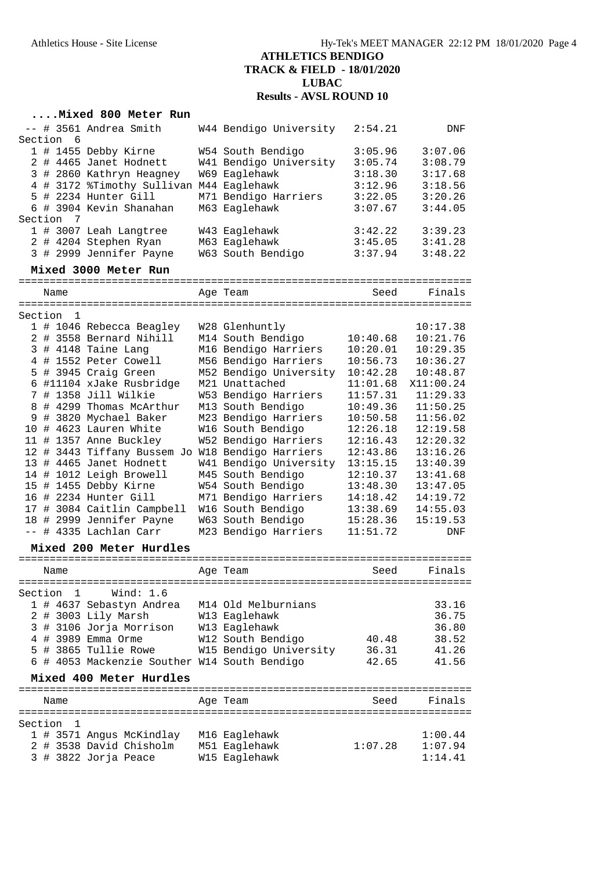#### **....Mixed 800 Meter Run**

|  |           | -- # 3561 Andrea Smith     | W44 Bendigo University | 2:54.21 | <b>DNF</b> |
|--|-----------|----------------------------|------------------------|---------|------------|
|  | Section 6 |                            |                        |         |            |
|  |           | 1 # 1455 Debby Kirne       | W54 South Bendigo      | 3:05.96 | 3:07.06    |
|  |           | 2 # 4465 Janet Hodnett     | W41 Bendigo University | 3:05.74 | 3:08.79    |
|  |           | 3 # 2860 Kathryn Heagney   | W69 Eaglehawk          | 3:18.30 | 3:17.68    |
|  |           | 4 # 3172 %Timothy Sullivan | M44 Eaglehawk          | 3:12.96 | 3:18.56    |
|  |           | 5 # 2234 Hunter Gill       | M71 Bendigo Harriers   | 3:22.05 | 3:20.26    |
|  |           | 6 # 3904 Kevin Shanahan    | M63 Eaglehawk          | 3:07.67 | 3:44.05    |
|  | Section 7 |                            |                        |         |            |
|  |           | 1 # 3007 Leah Langtree     | W43 Eaglehawk          | 3:42.22 | 3:39.23    |
|  |           | 2 # 4204 Stephen Ryan      | M63 Eaglehawk          | 3:45.05 | 3:41.28    |
|  |           | 3 # 2999 Jennifer Payne    | W63 South Bendigo      | 3:37.94 | 3:48.22    |
|  |           | Mixed 3000 Meter Run       |                        |         |            |

#### ========================================================================= Name **Age Team** Age Team Seed Finals ========================================================================= Section 1 1 # 1046 Rebecca Beagley W28 Glenhuntly 10:17.38 2 # 3558 Bernard Nihill M14 South Bendigo 10:40.68 10:21.76 3 # 4148 Taine Lang M16 Bendigo Harriers 10:20.01 10:29.35 4 # 1552 Peter Cowell M56 Bendigo Harriers 10:56.73 10:36.27 5 # 3945 Craig Green M52 Bendigo University 10:42.28 10:48.87 6 #11104 xJake Rusbridge M21 Unattached 11:01.68 X11:00.24 7 # 1358 Jill Wilkie W53 Bendigo Harriers 11:57.31 11:29.33 8 # 4299 Thomas McArthur M13 South Bendigo 10:49.36 11:50.25 9 # 3820 Mychael Baker M23 Bendigo Harriers 10:50.58 11:56.02 10 # 4623 Lauren White W16 South Bendigo 12:26.18 12:19.58 11 # 1357 Anne Buckley W52 Bendigo Harriers 12:16.43 12:20.32 12 # 3443 Tiffany Bussem Jo W18 Bendigo Harriers 12:43.86 13:16.26 13 # 4465 Janet Hodnett W41 Bendigo University 13:15.15 13:40.39 14 # 1012 Leigh Browell M45 South Bendigo 12:10.37 13:41.68 15 # 1455 Debby Kirne W54 South Bendigo 13:48.30 13:47.05 16 # 2234 Hunter Gill M71 Bendigo Harriers 14:18.42 14:19.72 17 # 3084 Caitlin Campbell W16 South Bendigo 13:38.69 14:55.03 18 # 2999 Jennifer Payne W63 South Bendigo 15:28.36 15:19.53 -- # 4335 Lachlan Carr M23 Bendigo Harriers 11:51.72 DNF

#### **Mixed 200 Meter Hurdles**

| Name                      |                                              | Age Team               | Seed    | Finals  |
|---------------------------|----------------------------------------------|------------------------|---------|---------|
| Section 1                 | Wind: 1.6                                    |                        |         |         |
|                           | 1 # 4637 Sebastyn Andrea                     | M14 Old Melburnians    |         | 33.16   |
| $2 \#$                    | 3003 Lily Marsh                              | W13 Eaglehawk          |         | 36.75   |
|                           | 3 # 3106 Jorja Morrison                      | W13 Eaglehawk          |         | 36.80   |
| 4#                        | 3989 Emma Orme                               | W12 South Bendigo      | 40.48   | 38.52   |
| 5#                        | 3865 Tullie Rowe                             | W15 Bendigo University | 36.31   | 41.26   |
|                           | 6 # 4053 Mackenzie Souther W14 South Bendigo |                        | 42.65   | 41.56   |
|                           | Mixed 400 Meter Hurdles                      |                        |         |         |
| Name                      |                                              | Age Team               | Seed    | Finals  |
| Section<br>$\overline{1}$ |                                              |                        |         |         |
|                           | 1 # 3571 Angus McKindlay                     | M16 Eaglehawk          |         | 1:00.44 |
| 2#                        | 3538 David Chisholm                          | M51 Eaglehawk          | 1:07.28 | 1:07.94 |
|                           | 3 # 3822 Jorja Peace                         | W15 Eaglehawk          |         | 1:14.41 |
|                           |                                              |                        |         |         |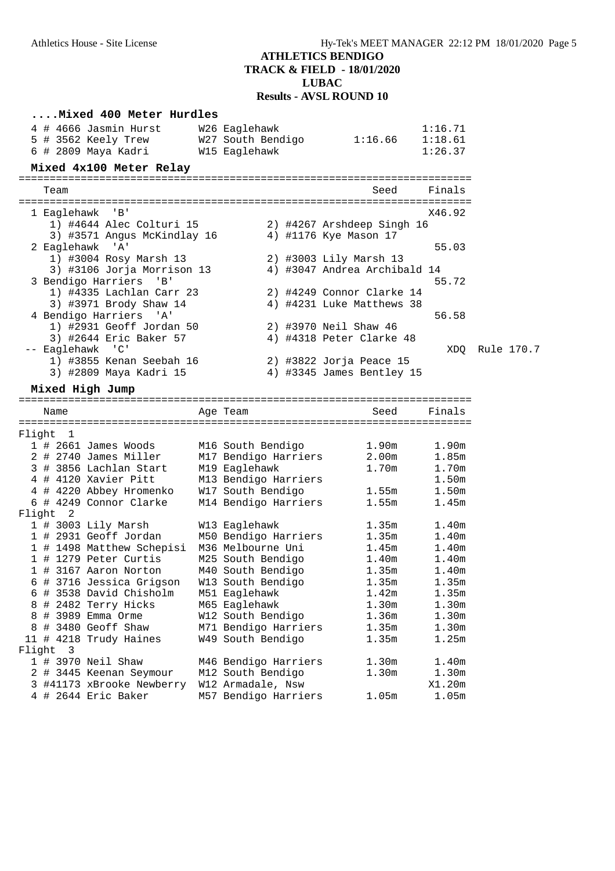| Mixed 400 Meter Hurdles<br>4 # 4666 Jasmin Hurst<br>5 # 3562 Keely Trew<br>6 # 2809 Maya Kadri<br>Mixed 4x100 Meter Relay | W26 Eaglehawk<br>W27 South Bendigo<br>W15 Eaglehawk | 1:16.66                      | 1:16.71<br>1:18.61<br>1:26.37 |            |
|---------------------------------------------------------------------------------------------------------------------------|-----------------------------------------------------|------------------------------|-------------------------------|------------|
| Team                                                                                                                      |                                                     | Seed                         | Finals                        |            |
| 1 Eaglehawk 'B'                                                                                                           |                                                     |                              | X46.92                        |            |
| 1) #4644 Alec Colturi 15                                                                                                  |                                                     | 2) #4267 Arshdeep Singh 16   |                               |            |
| 3) #3571 Angus McKindlay 16<br>2 Eaglehawk 'A'                                                                            |                                                     | 4) #1176 Kye Mason 17        | 55.03                         |            |
| 1) #3004 Rosy Marsh 13                                                                                                    |                                                     | 2) #3003 Lily Marsh 13       |                               |            |
| 3) #3106 Jorja Morrison 13                                                                                                |                                                     | 4) #3047 Andrea Archibald 14 |                               |            |
| 3 Bendigo Harriers 'B'                                                                                                    |                                                     |                              | 55.72                         |            |
| 1) #4335 Lachlan Carr 23                                                                                                  |                                                     | 2) #4249 Connor Clarke 14    |                               |            |
| 3) #3971 Brody Shaw 14                                                                                                    |                                                     | 4) #4231 Luke Matthews 38    |                               |            |
| 4 Bendigo Harriers 'A'<br>1) #2931 Geoff Jordan 50                                                                        |                                                     | 2) #3970 Neil Shaw 46        | 56.58                         |            |
| 3) #2644 Eric Baker 57                                                                                                    |                                                     | 4) #4318 Peter Clarke 48     |                               |            |
| -- Eaglehawk 'C'                                                                                                          |                                                     |                              | XDO                           | Rule 170.7 |
| 1) #3855 Kenan Seebah 16                                                                                                  |                                                     | 2) #3822 Jorja Peace 15      |                               |            |
| 3) #2809 Maya Kadri 15                                                                                                    |                                                     | 4) #3345 James Bentley 15    |                               |            |
| Mixed High Jump                                                                                                           |                                                     |                              |                               |            |
|                                                                                                                           |                                                     |                              |                               |            |
| Name                                                                                                                      | Age Team                                            | Seed                         | Finals                        |            |
| Flight 1                                                                                                                  |                                                     |                              |                               |            |
| $1$ # 2661 James Woods                                                                                                    | M16 South Bendigo                                   | 1.90m                        | 1.90m                         |            |
| 2 # 2740 James Miller                                                                                                     | M17 Bendigo Harriers                                | 2.00 <sub>m</sub>            | 1.85m                         |            |
| 3 # 3856 Lachlan Start                                                                                                    | M19 Eaglehawk                                       | 1.70m                        | 1.70m                         |            |
| 4 # 4120 Xavier Pitt                                                                                                      | M13 Bendigo Harriers                                |                              | 1.50m                         |            |
| 4 # 4220 Abbey Hromenko                                                                                                   | W17 South Bendigo                                   | 1.55m                        | 1.50m                         |            |
| 6 # 4249 Connor Clarke                                                                                                    | M14 Bendigo Harriers                                | 1.55m                        | 1.45m                         |            |
| Flight 2                                                                                                                  |                                                     |                              |                               |            |
| 1 # 3003 Lily Marsh                                                                                                       | W13 Eaglehawk                                       | 1.35m                        | 1.40m                         |            |
| 1 # 2931 Geoff Jordan                                                                                                     | M50 Bendigo Harriers                                | 1.35m                        | 1.40 <sub>m</sub>             |            |
| 1 # 1498 Matthew Schepisi                                                                                                 | M36 Melbourne Uni                                   | 1.45m                        | 1.40m                         |            |
| 1 # 1279 Peter Curtis                                                                                                     | M25 South Bendigo                                   | 1.40m                        | 1.40m                         |            |
| 1 # 3167 Aaron Norton                                                                                                     | M40 South Bendigo                                   | 1.35m                        | 1.40m                         |            |
| 6 # 3716 Jessica Grigson<br>6 # 3538 David Chisholm                                                                       | W13 South Bendigo<br>M51 Eaglehawk                  | 1.35m<br>1.42m               | 1.35m<br>1.35m                |            |
| # 2482 Terry Hicks<br>8                                                                                                   | M65 Eaglehawk                                       | 1.30m                        | 1.30m                         |            |
| # 3989 Emma Orme<br>8                                                                                                     | W12 South Bendigo                                   | 1.36m                        | 1.30m                         |            |
| # 3480 Geoff Shaw<br>8                                                                                                    | M71 Bendigo Harriers                                | 1.35m                        | 1.30m                         |            |
| 11 # 4218 Trudy Haines                                                                                                    | W49 South Bendigo                                   | 1.35m                        | 1.25m                         |            |
| Flight<br>3                                                                                                               |                                                     |                              |                               |            |
| 1 # 3970 Neil Shaw                                                                                                        | M46 Bendigo Harriers                                | 1.30m                        | 1.40m                         |            |
| 2 # 3445 Keenan Seymour                                                                                                   | M12 South Bendigo                                   | 1.30m                        | 1.30m                         |            |
| 3 #41173 xBrooke Newberry                                                                                                 | W12 Armadale, Nsw                                   |                              | X1.20m                        |            |
| 4 # 2644 Eric Baker                                                                                                       | M57 Bendigo Harriers                                | 1.05m                        | 1.05m                         |            |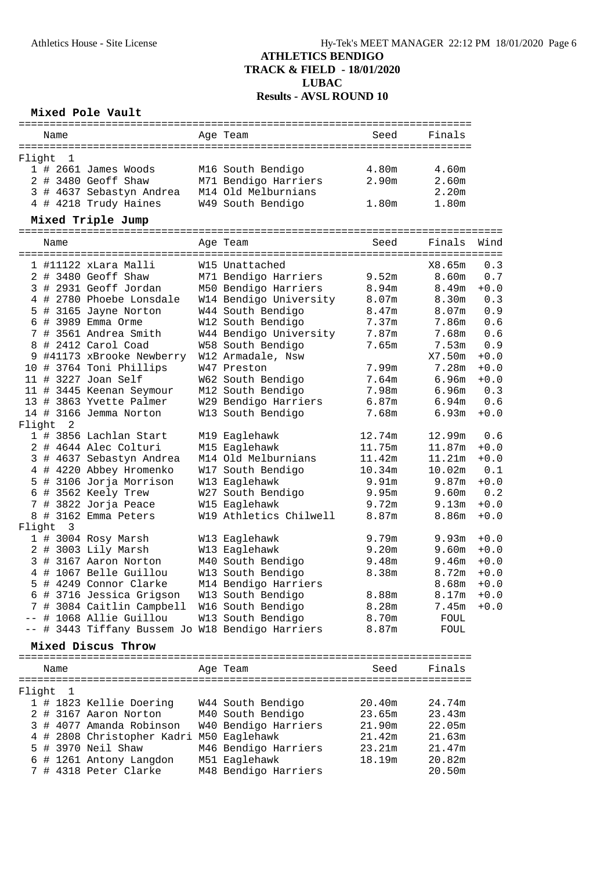#### **Mixed Pole Vault**

|          |  | Name |                        |                          |  | Age Team             | Seed  | Finals |  |  |  |
|----------|--|------|------------------------|--------------------------|--|----------------------|-------|--------|--|--|--|
|          |  |      |                        |                          |  |                      |       |        |  |  |  |
| Flight 1 |  |      |                        |                          |  |                      |       |        |  |  |  |
|          |  |      | $1$ # 2661 James Woods |                          |  | M16 South Bendigo    | 4.80m | 4.60m  |  |  |  |
|          |  |      | $2$ # 3480 Geoff Shaw  |                          |  | M71 Bendigo Harriers | 2.90m | 2.60m  |  |  |  |
|          |  |      |                        | 3 # 4637 Sebastyn Andrea |  | M14 Old Melburnians  |       | 2.20m  |  |  |  |
|          |  |      |                        | 4 # 4218 Trudy Haines    |  | W49 South Bendigo    | 1.80m | 1.80m  |  |  |  |

#### **Mixed Triple Jump**

|        | Name                    |                                                  | Age Team               | Seed              | Finals            | Wind   |
|--------|-------------------------|--------------------------------------------------|------------------------|-------------------|-------------------|--------|
|        |                         | ===================================              |                        |                   |                   |        |
|        |                         | 1 #11122 xLara Malli                             | W15 Unattached         |                   | X8.65m            | 0.3    |
|        |                         | 2 # 3480 Geoff Shaw                              | M71 Bendigo Harriers   | 9.52m             | 8.60m             | 0.7    |
|        |                         | 3 # 2931 Geoff Jordan                            | M50 Bendigo Harriers   | 8.94m             | 8.49m             | $+0.0$ |
|        |                         | 4 # 2780 Phoebe Lonsdale                         | W14 Bendigo University | 8.07m             | 8.30m             | 0.3    |
|        |                         | 5 # 3165 Jayne Norton                            | W44 South Bendigo      | 8.47m             | 8.07m             | 0.9    |
|        |                         | 6 # 3989 Emma Orme                               | W12 South Bendigo      | 7.37m             | 7.86m             | 0.6    |
|        |                         | 7 # 3561 Andrea Smith                            | W44 Bendigo University | 7.87m             | 7.68m             | 0.6    |
|        |                         | 8 # 2412 Carol Coad                              | W58 South Bendigo      | 7.65m             | 7.53 <sub>m</sub> | 0.9    |
|        |                         | 9 #41173 xBrooke Newberry                        | W12 Armadale, Nsw      |                   | X7.50m            | $+0.0$ |
|        |                         | 10 # 3764 Toni Phillips                          | W47 Preston            | 7.99m             | 7.28m             | $+0.0$ |
|        |                         | 11 # 3227 Joan Self                              | W62 South Bendigo      | 7.64m             | 6.96 <sub>m</sub> | $+0.0$ |
|        |                         | 11 # 3445 Keenan Seymour                         | M12 South Bendigo      | 7.98m             | 6.96 <sub>m</sub> | 0.3    |
|        |                         | 13 # 3863 Yvette Palmer                          | W29 Bendigo Harriers   | 6.87m             | 6.94m             | 0.6    |
|        |                         | 14 # 3166 Jemma Norton                           | W13 South Bendigo      | 7.68m             | 6.93m             | $+0.0$ |
| Flight | 2                       |                                                  |                        |                   |                   |        |
|        |                         | 1 # 3856 Lachlan Start                           | M19 Eaglehawk          | 12.74m            | 12.99m            | 0.6    |
|        |                         | 2 # 4644 Alec Colturi                            | M15 Eaglehawk          | 11.75m            | 11.87m            | $+0.0$ |
|        |                         | 3 # 4637 Sebastyn Andrea                         | M14 Old Melburnians    | 11.42m            | 11.21m            | $+0.0$ |
|        |                         | 4 # 4220 Abbey Hromenko                          | W17 South Bendigo      | 10.34m            | 10.02m            | 0.1    |
|        |                         | 5 # 3106 Jorja Morrison                          | W13 Eaglehawk          | 9.91 <sub>m</sub> | 9.87m             | $+0.0$ |
|        |                         | 6 # 3562 Keely Trew                              | W27 South Bendigo      | 9.95m             | 9.60m             | 0.2    |
|        |                         | 7 # 3822 Jorja Peace                             | W15 Eaglehawk          | 9.72m             | 9.13m             | $+0.0$ |
|        |                         | 8 # 3162 Emma Peters                             | W19 Athletics Chilwell | 8.87m             | 8.86m             | $+0.0$ |
| Flight | $\overline{\mathbf{3}}$ |                                                  |                        |                   |                   |        |
|        |                         | 1 # 3004 Rosy Marsh                              | W13 Eaglehawk          | 9.79m             | 9.93m             | $+0.0$ |
|        |                         | 2 # 3003 Lily Marsh                              | W13 Eaglehawk          | 9.20m             | 9.60m             | $+0.0$ |
|        |                         | 3 # 3167 Aaron Norton                            | M40 South Bendigo      | 9.48m             | 9.46m             | $+0.0$ |
|        |                         | 4 # 1067 Belle Guillou                           | W13 South Bendigo      | 8.38m             | 8.72m             | $+0.0$ |
|        |                         | 5 # 4249 Connor Clarke                           | M14 Bendigo Harriers   |                   | 8.68m             | $+0.0$ |
|        |                         | 6 # 3716 Jessica Grigson                         | W13 South Bendigo      | 8.88m             | 8.17m             | $+0.0$ |
|        |                         | 7 # 3084 Caitlin Campbell                        | W16 South Bendigo      | 8.28m             | 7.45m             | $+0.0$ |
|        |                         | -- # 1068 Allie Guillou                          | W13 South Bendigo      | 8.70m             | FOUL              |        |
|        |                         | -- # 3443 Tiffany Bussem Jo W18 Bendigo Harriers |                        | 8.87m             | FOUL              |        |

#### **Mixed Discus Throw**

========================================================================= Name Age Team Seed Finals ========================================================================= Flight 1 1 # 1823 Kellie Doering W44 South Bendigo 20.40m 24.74m 2 # 3167 Aaron Norton M40 South Bendigo 23.65m 23.43m 3 # 4077 Amanda Robinson W40 Bendigo Harriers 21.90m 22.05m 4 # 2808 Christopher Kadri M50 Eaglehawk 21.42m 21.63m 5 # 3970 Neil Shaw M46 Bendigo Harriers 23.21m 21.47m 6 # 1261 Antony Langdon M51 Eaglehawk 18.19m 20.82m 7 # 4318 Peter Clarke M48 Bendigo Harriers 20.50m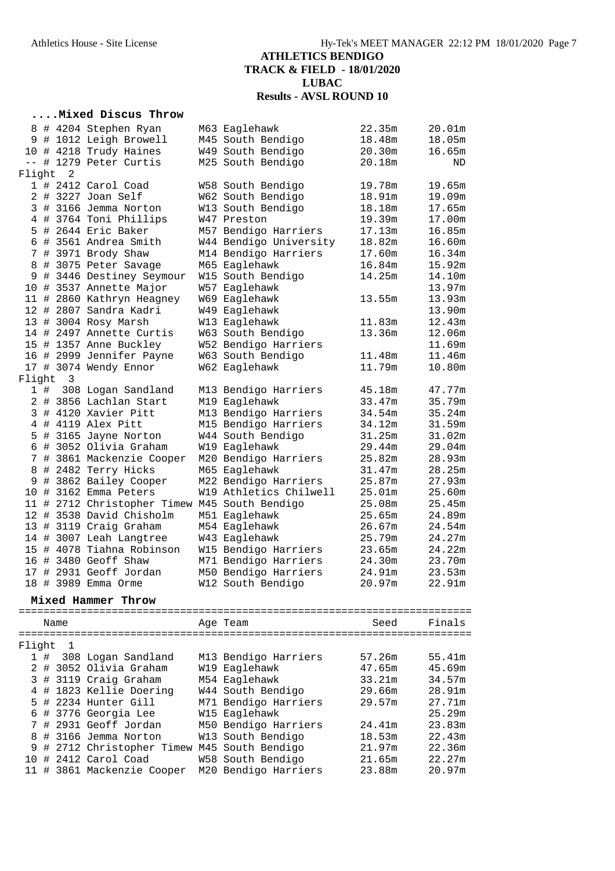### **....Mixed Discus Throw**

|        |     |          | 8 # 4204 Stephen Ryan                         | M63 Eaglehawk          | 22.35m | 20.01m |
|--------|-----|----------|-----------------------------------------------|------------------------|--------|--------|
|        |     |          | 9 # 1012 Leigh Browell                        | M45 South Bendigo      | 18.48m | 18.05m |
|        |     |          | 10 # 4218 Trudy Haines                        | W49 South Bendigo      | 20.30m | 16.65m |
|        |     |          | -- # 1279 Peter Curtis                        | M25 South Bendigo      | 20.18m | ND     |
| Flight |     | 2        |                                               |                        |        |        |
|        |     |          | 1 # 2412 Carol Coad                           | W58 South Bendigo      | 19.78m | 19.65m |
|        |     |          | 2 # 3227 Joan Self                            | W62 South Bendigo      | 18.91m | 19.09m |
|        |     |          | 3 # 3166 Jemma Norton                         | W13 South Bendigo      | 18.18m | 17.65m |
|        |     |          | 4 # 3764 Toni Phillips                        | W47 Preston            | 19.39m | 17.00m |
|        |     |          | 5 # 2644 Eric Baker                           | M57 Bendigo Harriers   | 17.13m | 16.85m |
|        |     |          | 6 # 3561 Andrea Smith                         | W44 Bendigo University | 18.82m | 16.60m |
|        |     |          | 7 # 3971 Brody Shaw                           | M14 Bendigo Harriers   | 17.60m | 16.34m |
|        |     |          | 8 # 3075 Peter Savage                         | M65 Eaglehawk          | 16.84m | 15.92m |
|        |     |          | 9 # 3446 Destiney Seymour                     | W15 South Bendigo      | 14.25m | 14.10m |
|        |     |          | 10 # 3537 Annette Major                       | W57 Eaglehawk          |        | 13.97m |
|        |     |          | 11 # 2860 Kathryn Heagney                     | W69 Eaglehawk          | 13.55m | 13.93m |
|        |     |          | 12 # 2807 Sandra Kadri                        | W49 Eaglehawk          |        | 13.90m |
|        |     |          | 13 # 3004 Rosy Marsh                          | W13 Eaglehawk          | 11.83m | 12.43m |
|        |     |          | 14 # 2497 Annette Curtis                      | W63 South Bendigo      | 13.36m | 12.06m |
|        |     |          | 15 # 1357 Anne Buckley                        | W52 Bendigo Harriers   |        | 11.69m |
|        |     |          | 16 # 2999 Jennifer Payne                      | W63 South Bendigo      | 11.48m | 11.46m |
|        |     |          | 17 # 3074 Wendy Ennor                         | W62 Eaglehawk          | 11.79m | 10.80m |
|        |     | Flight 3 |                                               |                        |        |        |
|        | 1 # |          | 308 Logan Sandland                            | M13 Bendigo Harriers   | 45.18m | 47.77m |
|        |     |          | 2 # 3856 Lachlan Start                        | M19 Eaglehawk          | 33.47m | 35.79m |
|        |     |          | 3 # 4120 Xavier Pitt                          | M13 Bendigo Harriers   | 34.54m | 35.24m |
|        |     |          | 4 # 4119 Alex Pitt                            | M15 Bendigo Harriers   | 34.12m | 31.59m |
|        |     |          | 5 # 3165 Jayne Norton                         | W44 South Bendigo      | 31.25m | 31.02m |
|        |     |          | 6 # 3052 Olivia Graham                        | W19 Eaglehawk          | 29.44m | 29.04m |
|        |     |          | 7 # 3861 Mackenzie Cooper                     | M20 Bendigo Harriers   | 25.82m | 28.93m |
|        |     |          | 8 # 2482 Terry Hicks                          | M65 Eaglehawk          | 31.47m | 28.25m |
|        |     |          | 9 # 3862 Bailey Cooper                        | M22 Bendigo Harriers   | 25.87m | 27.93m |
|        |     |          | 10 # 3162 Emma Peters                         | W19 Athletics Chilwell | 25.01m | 25.60m |
|        |     |          | 11 # 2712 Christopher Timew M45 South Bendigo |                        | 25.08m | 25.45m |
|        |     |          | 12 # 3538 David Chisholm                      | M51 Eaglehawk          | 25.65m | 24.89m |
|        |     |          | 13 # 3119 Craig Graham                        | M54 Eaglehawk          | 26.67m | 24.54m |
|        |     |          | 14 # 3007 Leah Langtree                       | W43 Eaglehawk          | 25.79m | 24.27m |
|        |     |          | 15 # 4078 Tiahna Robinson                     | W15 Bendigo Harriers   | 23.65m | 24.22m |
|        |     |          | 16 # 3480 Geoff Shaw                          | M71 Bendigo Harriers   | 24.30m | 23.70m |
|        |     |          | 17 # 2931 Geoff Jordan                        | M50 Bendigo Harriers   | 24.91m | 23.53m |
|        |     |          | 18 # 3989 Emma Orme                           | W12 South Bendigo      | 20.97m | 22.91m |
|        |     |          | Mixed Hammer Throw                            |                        |        |        |
|        |     | Name     |                                               | Age Team               | Seed   | Finals |
|        |     |          |                                               |                        |        |        |
| Flight |     | 1        |                                               |                        |        |        |
|        | 1#  |          | 308 Logan Sandland                            | M13 Bendigo Harriers   | 57.26m | 55.41m |

|  |  | $\perp$ # 308 Logan Sandland                    | MI3 Bendigo Harriers | 57.26m | 55.41m |
|--|--|-------------------------------------------------|----------------------|--------|--------|
|  |  | 2 # 3052 Olivia Graham                          | W19 Eaglehawk        | 47.65m | 45.69m |
|  |  | 3 # 3119 Craig Graham                           | M54 Eaglehawk        | 33.21m | 34.57m |
|  |  | 4 # 1823 Kellie Doering                         | W44 South Bendigo    | 29.66m | 28.91m |
|  |  | 5 # 2234 Hunter Gill                            | M71 Bendigo Harriers | 29.57m | 27.71m |
|  |  | 6 # 3776 Georgia Lee                            | W15 Eaglehawk        |        | 25.29m |
|  |  | 7 # 2931 Geoff Jordan                           | M50 Bendigo Harriers | 24.41m | 23.83m |
|  |  | 8 # 3166 Jemma Norton                           | W13 South Bendigo    | 18.53m | 22.43m |
|  |  | 9 # 2712 Christopher Timew M45 South Bendigo    |                      | 21.97m | 22.36m |
|  |  | 10 # 2412 Carol Coad                            | W58 South Bendigo    | 21.65m | 22.27m |
|  |  | 11 # 3861 Mackenzie Cooper M20 Bendigo Harriers |                      | 23.88m | 20.97m |
|  |  |                                                 |                      |        |        |